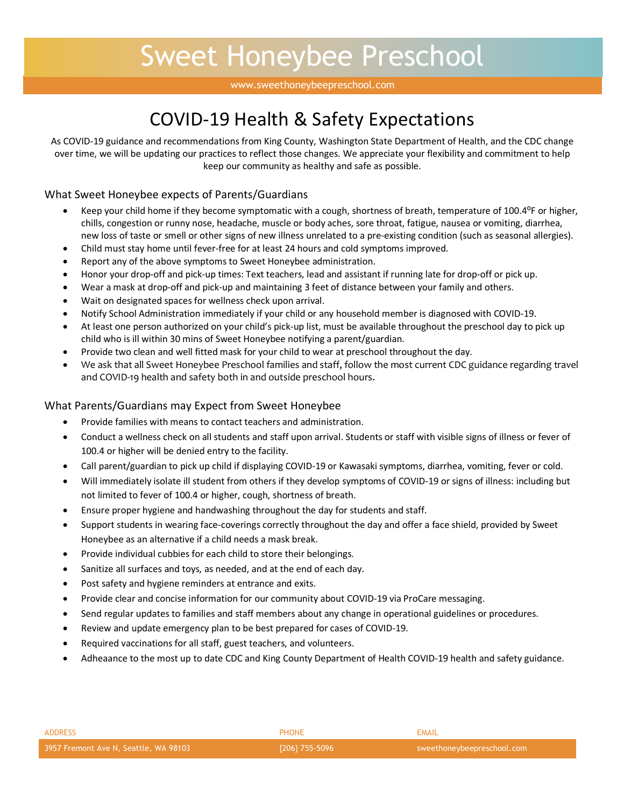# Sweet Honeybee Preschool

#### www.sweethoneybeepreschool.com

### COVID-19 Health & Safety Expectations

As COVID-19 guidance and recommendations from King County, Washington State Department of Health, and the CDC change over time, we will be updating our practices to reflect those changes. We appreciate your flexibility and commitment to help keep our community as healthy and safe as possible.

### What Sweet Honeybee expects of Parents/Guardians

- Keep your child home if they become symptomatic with a cough, shortness of breath, temperature of 100.4<sup>o</sup>F or higher, chills, congestion or runny nose, headache, muscle or body aches, sore throat, fatigue, nausea or vomiting, diarrhea, new loss of taste or smell or other signs of new illness unrelated to a pre-existing condition (such as seasonal allergies).
- Child must stay home until fever-free for at least 24 hours and cold symptoms improved.
- Report any of the above symptoms to Sweet Honeybee administration.
- Honor your drop-off and pick-up times: Text teachers, lead and assistant if running late for drop-off or pick up.
- Wear a mask at drop-off and pick-up and maintaining 3 feet of distance between your family and others.
- Wait on designated spaces for wellness check upon arrival.
- Notify School Administration immediately if your child or any household member is diagnosed with COVID-19.
- At least one person authorized on your child's pick-up list, must be available throughout the preschool day to pick up child who is ill within 30 mins of Sweet Honeybee notifying a parent/guardian.
- Provide two clean and well fitted mask for your child to wear at preschool throughout the day.
- We ask that all Sweet Honeybee Preschool families and staff, follow the most current CDC guidance regarding travel and COVID-19 health and safety both in and outside preschool hours.

#### What Parents/Guardians may Expect from Sweet Honeybee

- Provide families with means to contact teachers and administration.
- Conduct a wellness check on all students and staff upon arrival. Students or staff with visible signs of illness or fever of 100.4 or higher will be denied entry to the facility.
- Call parent/guardian to pick up child if displaying COVID-19 or Kawasaki symptoms, diarrhea, vomiting, fever or cold.
- Will immediately isolate ill student from others if they develop symptoms of COVID-19 or signs of illness: including but not limited to fever of 100.4 or higher, cough, shortness of breath.
- Ensure proper hygiene and handwashing throughout the day for students and staff.
- Support students in wearing face-coverings correctly throughout the day and offer a face shield, provided by Sweet Honeybee as an alternative if a child needs a mask break.
- Provide individual cubbies for each child to store their belongings.
- Sanitize all surfaces and toys, as needed, and at the end of each day.
- Post safety and hygiene reminders at entrance and exits.
- Provide clear and concise information for our community about COVID-19 via ProCare messaging.
- Send regular updates to families and staff members about any change in operational guidelines or procedures.
- Review and update emergency plan to be best prepared for cases of COVID-19.
- Required vaccinations for all staff, guest teachers, and volunteers.
- Adheaance to the most up to date CDC and King County Department of Health COVID-19 health and safety guidance.